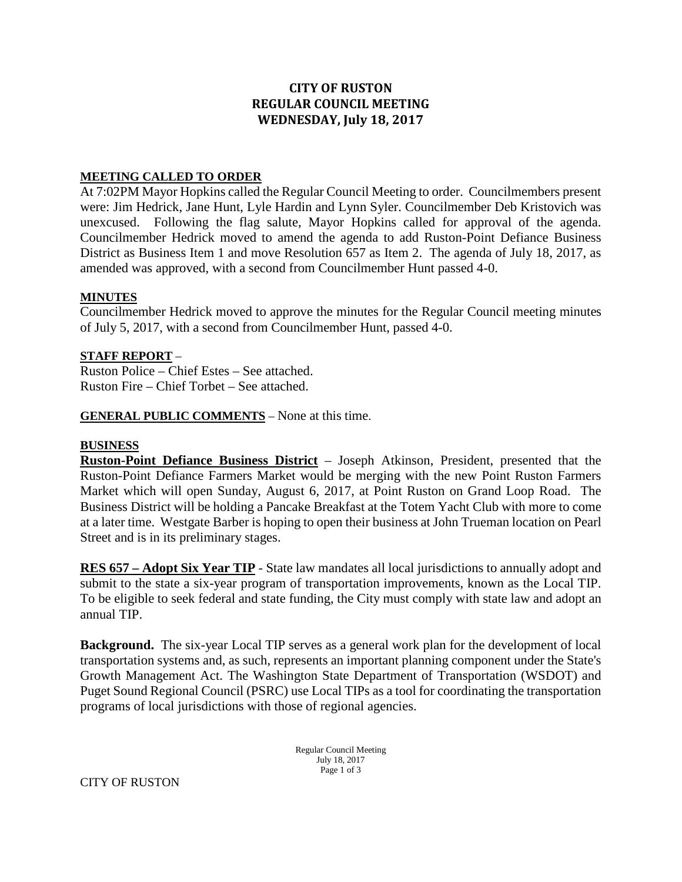## **CITY OF RUSTON REGULAR COUNCIL MEETING WEDNESDAY, July 18, 2017**

#### **MEETING CALLED TO ORDER**

At 7:02PM Mayor Hopkins called the Regular Council Meeting to order. Councilmembers present were: Jim Hedrick, Jane Hunt, Lyle Hardin and Lynn Syler. Councilmember Deb Kristovich was unexcused. Following the flag salute, Mayor Hopkins called for approval of the agenda. Councilmember Hedrick moved to amend the agenda to add Ruston-Point Defiance Business District as Business Item 1 and move Resolution 657 as Item 2. The agenda of July 18, 2017, as amended was approved, with a second from Councilmember Hunt passed 4-0.

### **MINUTES**

Councilmember Hedrick moved to approve the minutes for the Regular Council meeting minutes of July 5, 2017, with a second from Councilmember Hunt, passed 4-0.

### **STAFF REPORT** –

Ruston Police – Chief Estes – See attached. Ruston Fire – Chief Torbet – See attached.

**GENERAL PUBLIC COMMENTS** – None at this time.

#### **BUSINESS**

**Ruston-Point Defiance Business District** – Joseph Atkinson, President, presented that the Ruston-Point Defiance Farmers Market would be merging with the new Point Ruston Farmers Market which will open Sunday, August 6, 2017, at Point Ruston on Grand Loop Road. The Business District will be holding a Pancake Breakfast at the Totem Yacht Club with more to come at a later time. Westgate Barber is hoping to open their business at John Trueman location on Pearl Street and is in its preliminary stages.

**RES 657 – Adopt Six Year TIP** - State law mandates all local jurisdictions to annually adopt and submit to the state a six-year program of transportation improvements, known as the Local TIP. To be eligible to seek federal and state funding, the City must comply with state law and adopt an annual TIP.

**Background.** The six-year Local TIP serves as a general work plan for the development of local transportation systems and, as such, represents an important planning component under the State's Growth Management Act. The Washington State Department of Transportation (WSDOT) and Puget Sound Regional Council (PSRC) use Local TIPs as a tool for coordinating the transportation programs of local jurisdictions with those of regional agencies.

> Regular Council Meeting July 18, 2017 Page 1 of 3

CITY OF RUSTON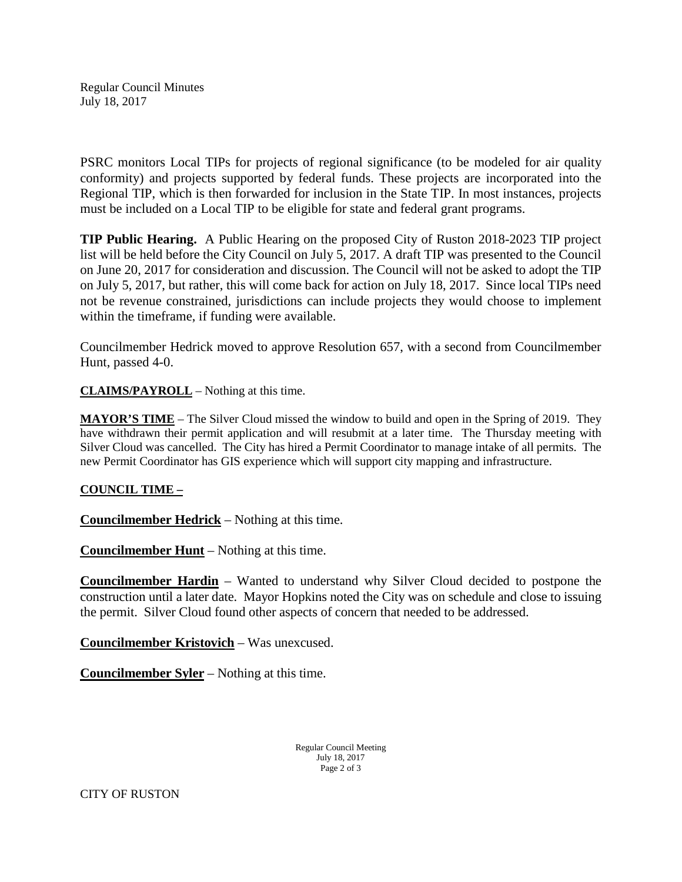Regular Council Minutes July 18, 2017

PSRC monitors Local TIPs for projects of regional significance (to be modeled for air quality conformity) and projects supported by federal funds. These projects are incorporated into the Regional TIP, which is then forwarded for inclusion in the State TIP. In most instances, projects must be included on a Local TIP to be eligible for state and federal grant programs.

**TIP Public Hearing.** A Public Hearing on the proposed City of Ruston 2018-2023 TIP project list will be held before the City Council on July 5, 2017. A draft TIP was presented to the Council on June 20, 2017 for consideration and discussion. The Council will not be asked to adopt the TIP on July 5, 2017, but rather, this will come back for action on July 18, 2017. Since local TIPs need not be revenue constrained, jurisdictions can include projects they would choose to implement within the timeframe, if funding were available.

Councilmember Hedrick moved to approve Resolution 657, with a second from Councilmember Hunt, passed 4-0.

**CLAIMS/PAYROLL** – Nothing at this time.

**MAYOR'S TIME** – The Silver Cloud missed the window to build and open in the Spring of 2019. They have withdrawn their permit application and will resubmit at a later time. The Thursday meeting with Silver Cloud was cancelled. The City has hired a Permit Coordinator to manage intake of all permits. The new Permit Coordinator has GIS experience which will support city mapping and infrastructure.

### **COUNCIL TIME –**

**Councilmember Hedrick** – Nothing at this time.

**Councilmember Hunt** – Nothing at this time.

**Councilmember Hardin** – Wanted to understand why Silver Cloud decided to postpone the construction until a later date. Mayor Hopkins noted the City was on schedule and close to issuing the permit. Silver Cloud found other aspects of concern that needed to be addressed.

**Councilmember Kristovich** – Was unexcused.

**Councilmember Syler** – Nothing at this time.

Regular Council Meeting July 18, 2017 Page 2 of 3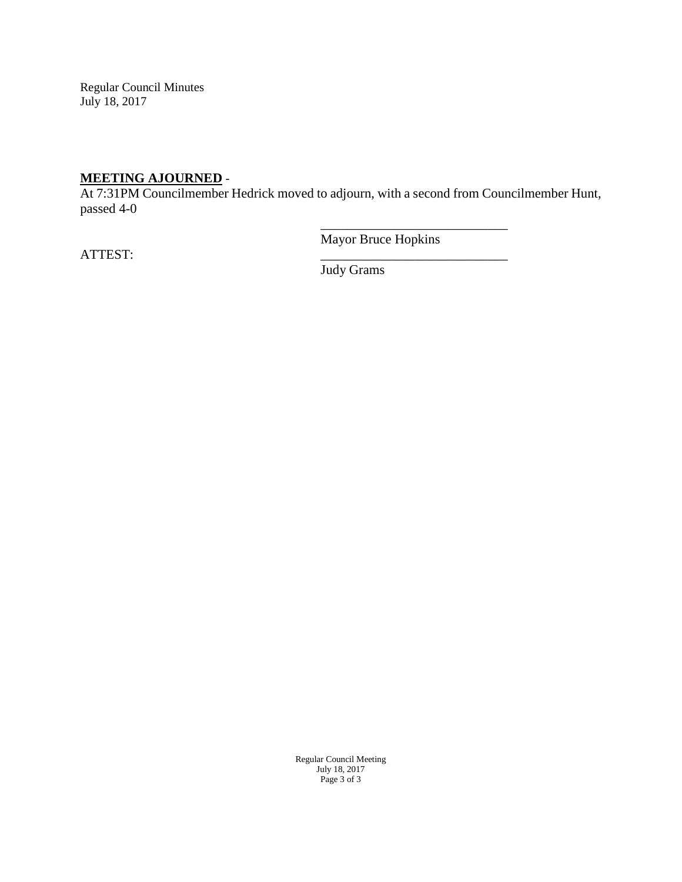Regular Council Minutes July 18, 2017

# **MEETING AJOURNED** -

At 7:31PM Councilmember Hedrick moved to adjourn, with a second from Councilmember Hunt, passed 4-0

ATTEST: \_\_\_\_\_\_\_\_\_\_\_\_\_\_\_\_\_\_\_\_\_\_\_\_\_\_\_\_

Mayor Bruce Hopkins

\_\_\_\_\_\_\_\_\_\_\_\_\_\_\_\_\_\_\_\_\_\_\_\_\_\_\_\_

Judy Grams

Regular Council Meeting July 18, 2017 Page 3 of 3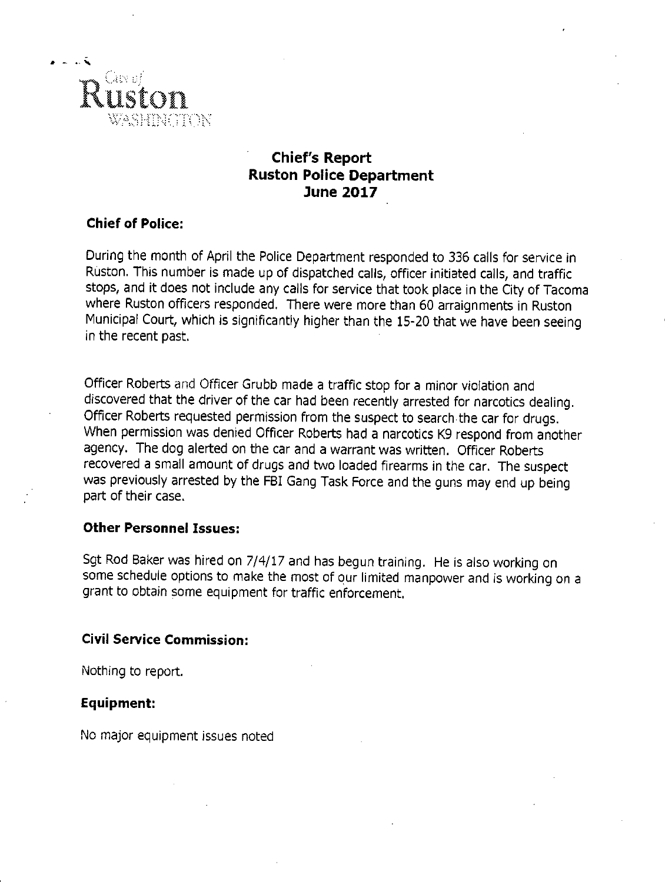

## **Chief's Report Ruston Police Department June 2017**

## **Chief of Police:**

During the month of April the Police Department responded to 336 calls for service in Ruston. This number is made up of dispatched calls, officer initiated calls, and traffic stops, and it does not include any calls for service that took place in the City of Tacoma where Ruston officers responded. There were more than 60 arraignments in Ruston Municipal Court, which is significantly higher than the 15-20 that we have been seeing in the recent past.

Officer Roberts and Officer Grubb made a traffic stop for a minor violation and discovered that the driver of the car had been recently arrested for narcotics dealing. Officer Roberts requested permission from the suspect to search the car for drugs. When permission was denied Officer Roberts had a narcotics K9 respond from another agency. The dog alerted on the car and a warrant was written. Officer Roberts recovered a small amount of drugs and two loaded firearms in the car. The suspect was previously arrested by the FBI Gang Task Force and the guns may end up being part of their case.

## **Other Personnel Issues:**

Sgt Rod Baker was hired on 7/4/17 and has begun training. He is also working on some schedule options to make the most of our limited manpower and is working on a grant to obtain some equipment for traffic enforcement.

## **Civil Service Commission:**

Nothing to report.

## **Equipment:**

No major equipment issues noted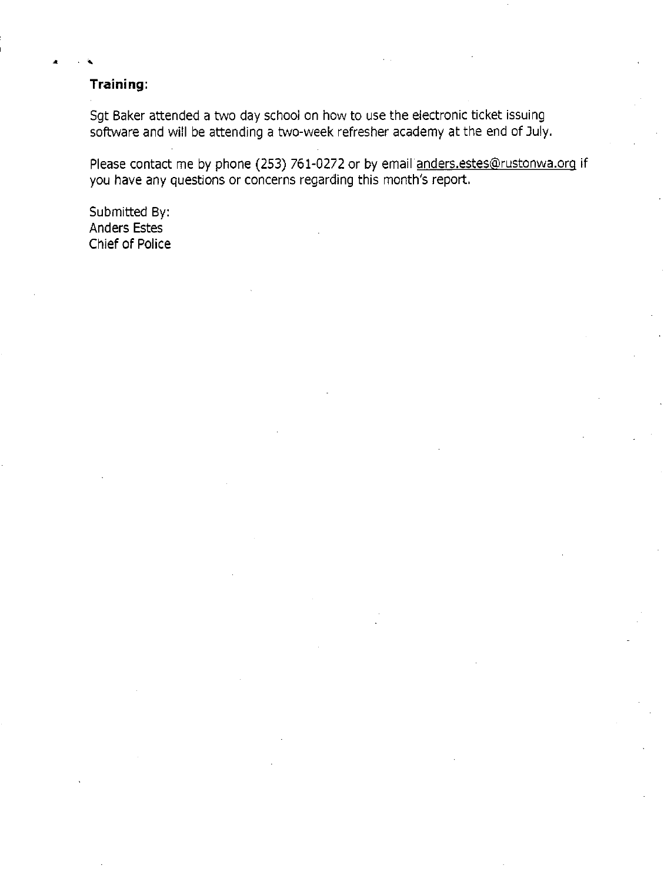## Training:

Sgt Baker attended a two day school on how to use the electronic ticket issuing software and will be attending a two-week refresher academy at the end of July.

Please contact me by phone (253) 761-0272 or by email anders.estes@rustonwa.org if you have any questions or concerns regarding this month's report.

Submitted By: Anders Estes **Chief of Police**